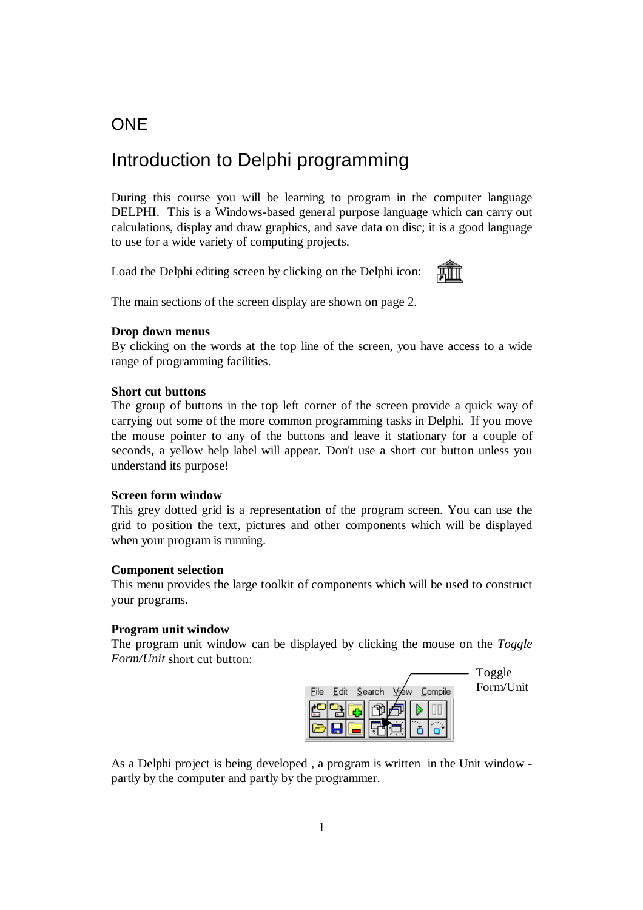# **ONE**

# Introduction to Delphi programming

During this course you will be learning to program in the computer language DELPHI. This is a Windows-based general purpose language which can carry out calculations, display and draw graphics, and save data on disc; it is a good language to use for a wide variety of computing projects.

Load the Delphi editing screen by clicking on the Delphi icon:



The main sections of the screen display are shown on page 2.

### **Drop down menus**

By clicking on the words at the top line of the screen, you have access to a wide range of programming facilities.

### **Short cut buttons**

The group of buttons in the top left corner of the screen provide a quick way of carrying out some of the more common programming tasks in Delphi. If you move the mouse pointer to any of the buttons and leave it stationary for a couple of seconds, a yellow help label will appear. Don't use a short cut button unless you understand its purpose!

### **Screen form window**

This grey dotted grid is a representation of the program screen. You can use the grid to position the text, pictures and other components which will be displayed when your program is running.

#### **Component selection**

This menu provides the large toolkit of components which will be used to construct your programs.

#### **Program unit window**

The program unit window can be displayed by clicking the mouse on the *Toggle Form/Unit* short cut button:



As a Delphi project is being developed , a program is written in the Unit window partly by the computer and partly by the programmer.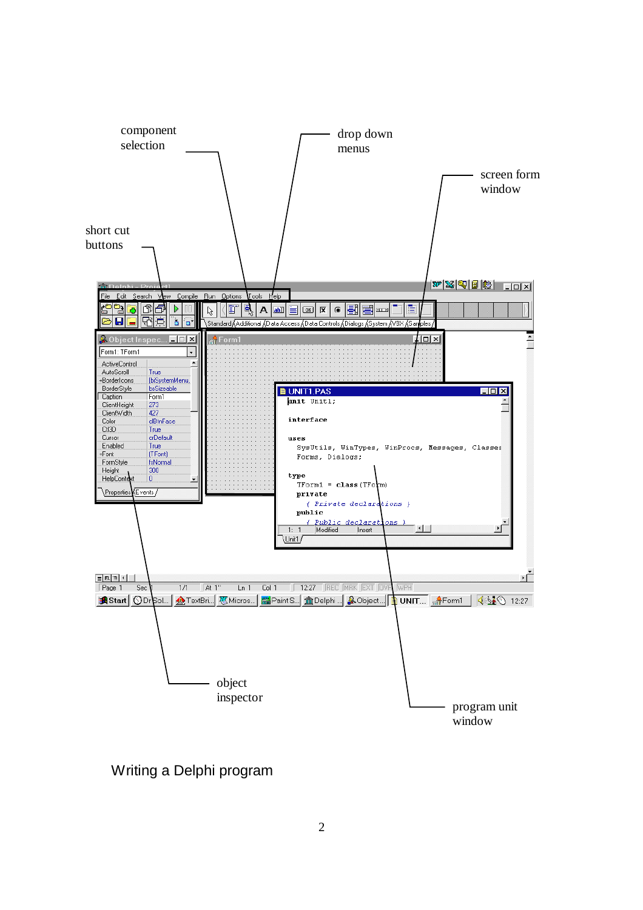

Writing a Delphi program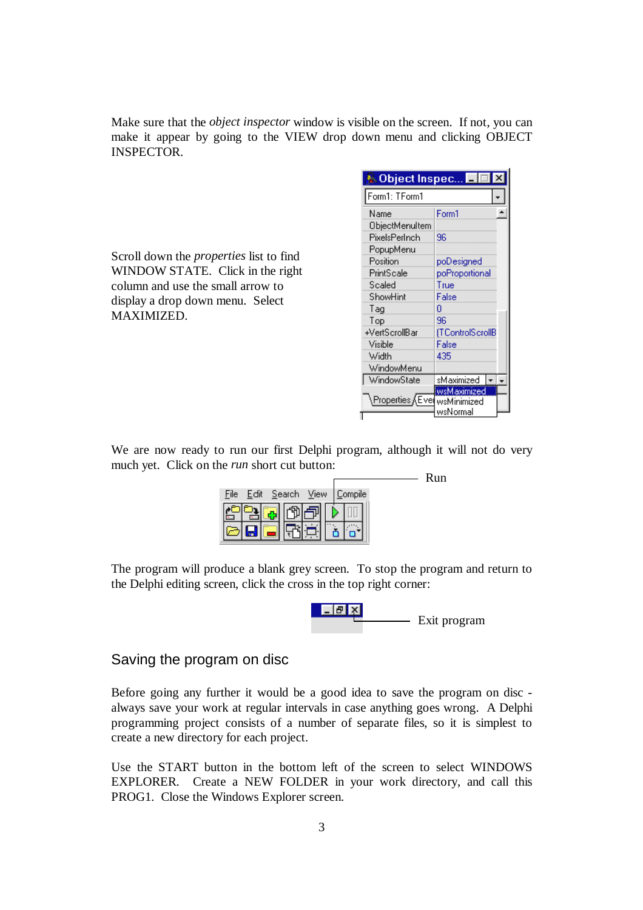Make sure that the *object inspector* window is visible on the screen. If not, you can make it appear by going to the VIEW drop down menu and clicking OBJECT INSPECTOR.

Scroll down the *properties* list to find WINDOW STATE. Click in the right column and use the small arrow to display a drop down menu. Select MAXIMIZED.

| <b>Mobject Inspec</b> | Ι×                      |
|-----------------------|-------------------------|
| Form1: TForm1         |                         |
| Name                  | Form1                   |
| ObjectMenuItem        |                         |
| PixelsPerInch         | 96                      |
| PopupMenu             |                         |
| Position              | poDesigned              |
| PrintScale            | poProportional          |
| Scaled                | True                    |
| ShowHint              | False                   |
| Tag                   | n                       |
| Top                   | 96                      |
| +VertScrollBar        | (TControlScrollB        |
| Visible               | False                   |
| Width                 | 435                     |
| WindowMenu            |                         |
| WindowState           | sMaximized              |
| ∖Properties ∕∖Eve     | wsMaximized             |
|                       | wsMinimized<br>wsNormal |
|                       |                         |

We are now ready to run our first Delphi program, although it will not do very much yet. Click on the *run* short cut button:

|                          | Run     |  |
|--------------------------|---------|--|
| Edit Search View<br>File | Compile |  |
|                          |         |  |
|                          |         |  |

The program will produce a blank grey screen. To stop the program and return to the Delphi editing screen, click the cross in the top right corner:



Saving the program on disc

Before going any further it would be a good idea to save the program on disc always save your work at regular intervals in case anything goes wrong. A Delphi programming project consists of a number of separate files, so it is simplest to create a new directory for each project.

Use the START button in the bottom left of the screen to select WINDOWS EXPLORER. Create a NEW FOLDER in your work directory, and call this PROG1. Close the Windows Explorer screen.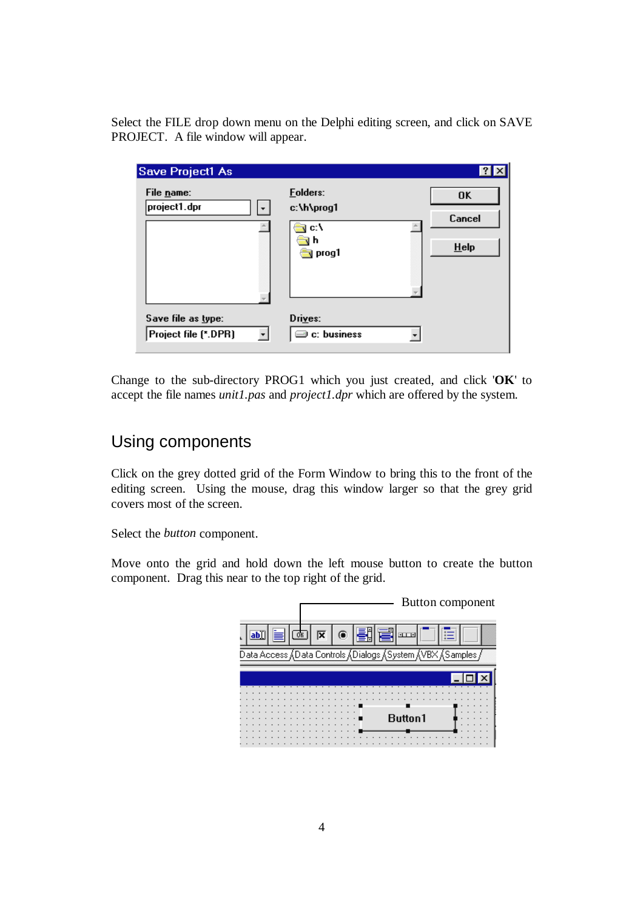Select the FILE drop down menu on the Delphi editing screen, and click on SAVE PROJECT. A file window will appear.

| <b>Save Project1 As</b>                    |                                                             |                                |
|--------------------------------------------|-------------------------------------------------------------|--------------------------------|
| File name:<br>project1.dpr                 | <b>Folders:</b><br>c:\h\prog1<br>c:\<br>n<br><b>N</b> prog1 | <b>OK</b><br>Cancel<br>$He$ lp |
| Save file as type:<br>Project file (*.DPR) | Drives:<br>$\equiv$ c: business                             |                                |

Change to the sub-directory PROG1 which you just created, and click '**OK**' to accept the file names *unit1.pas* and *project1.dpr* which are offered by the system.

# Using components

Click on the grey dotted grid of the Form Window to bring this to the front of the editing screen. Using the mouse, drag this window larger so that the grey grid covers most of the screen.

Select the *button* component.

Move onto the grid and hold down the left mouse button to create the button component. Drag this near to the top right of the grid.

|  |     |  |  |    |  |  |  |  |  | Button component                                          |
|--|-----|--|--|----|--|--|--|--|--|-----------------------------------------------------------|
|  | ab) |  |  | OK |  |  |  |  |  | <b>SLEEP</b>                                              |
|  |     |  |  |    |  |  |  |  |  | Data Access 人Data Controls 人Dialogs 人System 人VBX 人Samples |
|  |     |  |  |    |  |  |  |  |  |                                                           |
|  |     |  |  |    |  |  |  |  |  |                                                           |
|  |     |  |  |    |  |  |  |  |  |                                                           |
|  |     |  |  |    |  |  |  |  |  |                                                           |
|  |     |  |  |    |  |  |  |  |  |                                                           |
|  |     |  |  |    |  |  |  |  |  | Button1                                                   |
|  |     |  |  |    |  |  |  |  |  |                                                           |
|  |     |  |  |    |  |  |  |  |  |                                                           |
|  |     |  |  |    |  |  |  |  |  |                                                           |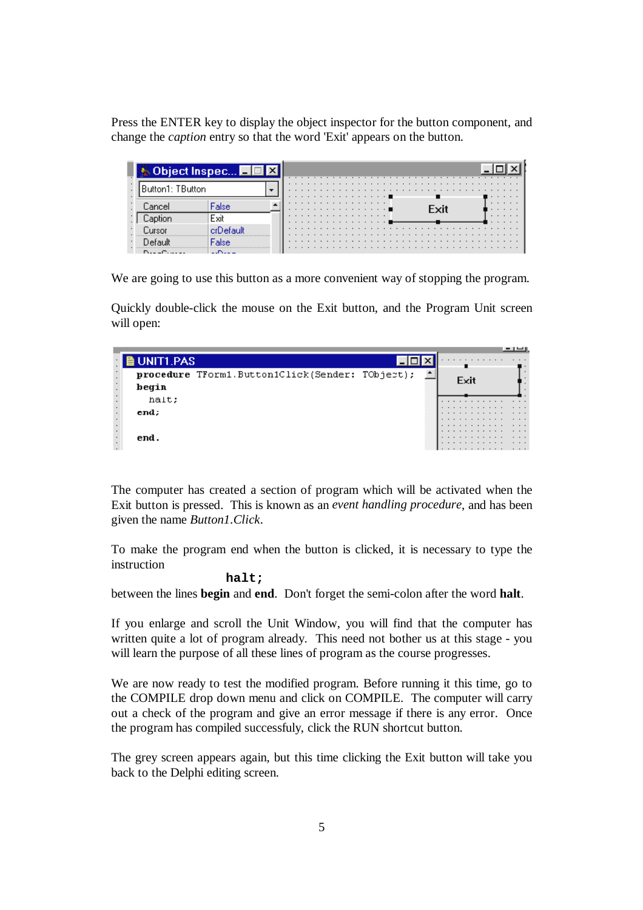Press the ENTER key to display the object inspector for the button component, and change the *caption* entry so that the word 'Exit' appears on the button.

| <b>&amp; Object Inspec</b> - In |                                       |  |                 |  |  |  |  |  |  |  |  |  |  |  | .      |  |
|---------------------------------|---------------------------------------|--|-----------------|--|--|--|--|--|--|--|--|--|--|--|--------|--|
| Button1: TButton                |                                       |  | .<br>. <b>.</b> |  |  |  |  |  |  |  |  |  |  |  | .<br>. |  |
|                                 | alse:                                 |  | .<br>. <b>.</b> |  |  |  |  |  |  |  |  |  |  |  | .<br>. |  |
|                                 | Exit                                  |  | .<br>.          |  |  |  |  |  |  |  |  |  |  |  | .      |  |
|                                 |                                       |  |                 |  |  |  |  |  |  |  |  |  |  |  | .      |  |
|                                 |                                       |  |                 |  |  |  |  |  |  |  |  |  |  |  | .      |  |
|                                 | and the second property of the second |  |                 |  |  |  |  |  |  |  |  |  |  |  |        |  |

We are going to use this button as a more convenient way of stopping the program.

Quickly double-click the mouse on the Exit button, and the Program Unit screen will open:

|                           | <b>BUNIT1.PAS</b>                               |  |      | . |        |   |  |
|---------------------------|-------------------------------------------------|--|------|---|--------|---|--|
|                           | procedure TForm1.Button1Click(Sender: TObject); |  | Exit |   |        |   |  |
| $\cdot$<br>$\cdot$        | begin                                           |  |      |   |        |   |  |
| $\blacksquare$<br>$\cdot$ | halt;                                           |  |      | . |        |   |  |
| $\bullet$                 | end:                                            |  |      | . | .<br>. | . |  |
| $\cdot$<br>$\epsilon$     |                                                 |  |      |   | .<br>. |   |  |
| $\cdot$                   | end.                                            |  |      |   | .<br>. |   |  |
| $\sim$                    |                                                 |  |      |   | .      |   |  |

The computer has created a section of program which will be activated when the Exit button is pressed. This is known as an *event handling procedure*, and has been given the name *Button1.Click*.

To make the program end when the button is clicked, it is necessary to type the instruction

#### **halt;**

between the lines **begin** and **end**. Don't forget the semi-colon after the word **halt**.

If you enlarge and scroll the Unit Window, you will find that the computer has written quite a lot of program already. This need not bother us at this stage - you will learn the purpose of all these lines of program as the course progresses.

We are now ready to test the modified program. Before running it this time, go to the COMPILE drop down menu and click on COMPILE. The computer will carry out a check of the program and give an error message if there is any error. Once the program has compiled successfuly, click the RUN shortcut button.

The grey screen appears again, but this time clicking the Exit button will take you back to the Delphi editing screen.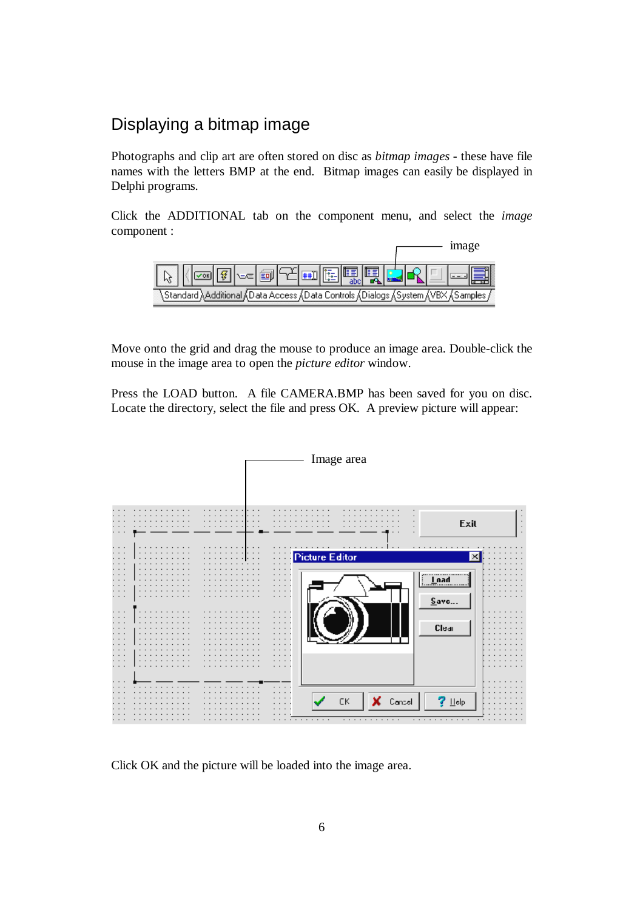## Displaying a bitmap image

Photographs and clip art are often stored on disc as *bitmap images* - these have file names with the letters BMP at the end. Bitmap images can easily be displayed in Delphi programs.

Click the ADDITIONAL tab on the component menu, and select the *image*  component :



Move onto the grid and drag the mouse to produce an image area. Double-click the mouse in the image area to open the *picture editor* window.

Press the LOAD button. A file CAMERA.BMP has been saved for you on disc. Locate the directory, select the file and press OK. A preview picture will appear:



Click OK and the picture will be loaded into the image area.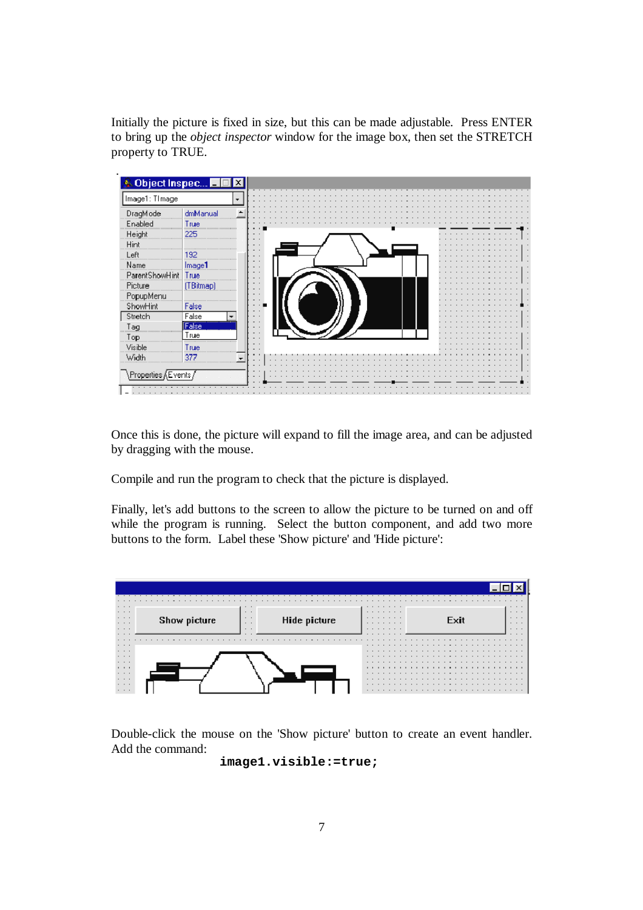Initially the picture is fixed in size, but this can be made adjustable. Press ENTER to bring up the *object inspector* window for the image box, then set the STRETCH property to TRUE.



Once this is done, the picture will expand to fill the image area, and can be adjusted by dragging with the mouse.

Compile and run the program to check that the picture is displayed.

Finally, let's add buttons to the screen to allow the picture to be turned on and off while the program is running. Select the button component, and add two more buttons to the form. Label these 'Show picture' and 'Hide picture':



Double-click the mouse on the 'Show picture' button to create an event handler. Add the command:

**image1.visible:=true;**